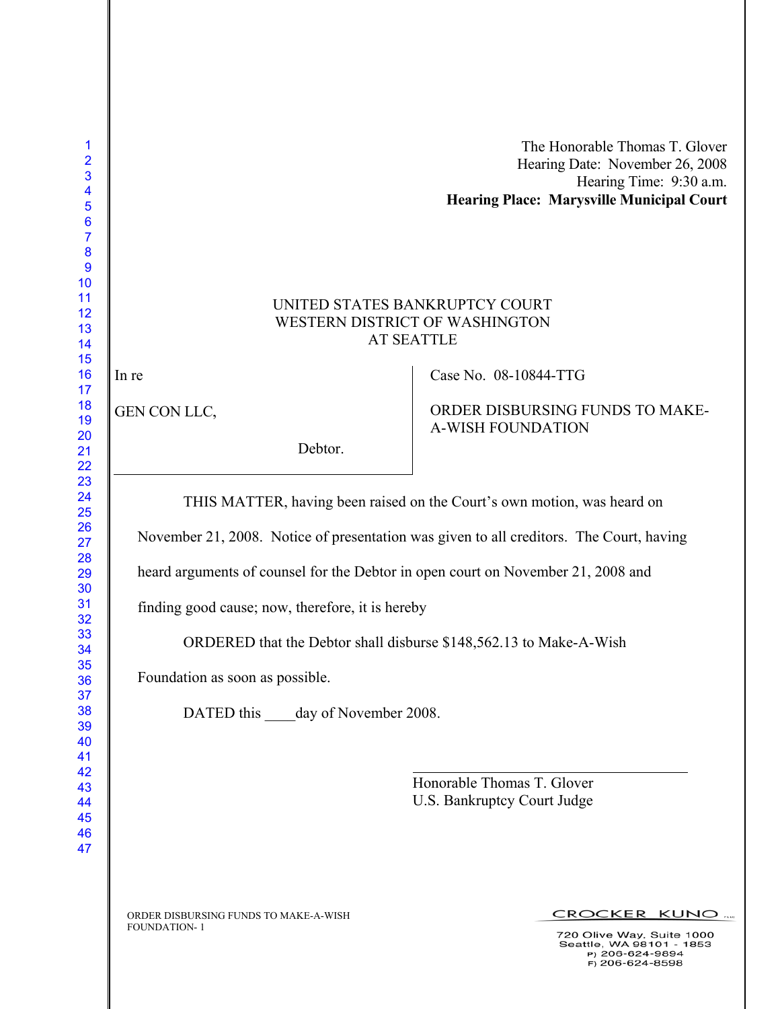| <b>Hearing Place: Marysville Municipal Court</b> |
|--------------------------------------------------|
| Hearing Time: 9:30 a.m.                          |
| Hearing Date: November 26, 2008                  |
| The Honorable Thomas T. Glover                   |

## UNITED STATES BANKRUPTCY COURT WESTERN DISTRICT OF WASHINGTON AT SEATTLE

In re

GEN CON LLC,

Debtor.

Case No. 08-10844-TTG

ORDER DISBURSING FUNDS TO MAKE-A-WISH FOUNDATION

THIS MATTER, having been raised on the Court's own motion, was heard on

November 21, 2008. Notice of presentation was given to all creditors. The Court, having

heard arguments of counsel for the Debtor in open court on November 21, 2008 and

finding good cause; now, therefore, it is hereby

ORDERED that the Debtor shall disburse \$148,562.13 to Make-A-Wish

Foundation as soon as possible.

DATED this day of November 2008.

 Honorable Thomas T. Glover U.S. Bankruptcy Court Judge

ORDER DISBURSING FUNDS TO MAKE-A-WISH FOUNDATION- 1

CROCKER KUNO

720 Olive Way, Suite 1000 20 Olive Way, Suite 1000<br>Seattle, WA 98101 - 1853<br>P) 206-624-9894  $F$ ) 206-624-8598